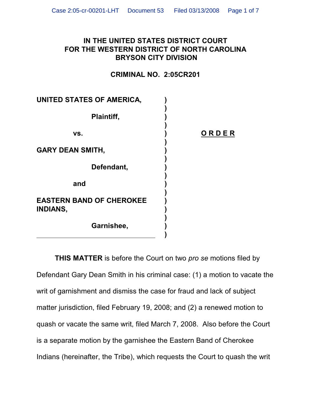## **IN THE UNITED STATES DISTRICT COURT FOR THE WESTERN DISTRICT OF NORTH CAROLINA BRYSON CITY DIVISION**

## **CRIMINAL NO. 2:05CR201**

**vs. ) O R D E R**

| UNITED STATES OF AMERICA,                          |  |
|----------------------------------------------------|--|
| Plaintiff,                                         |  |
| VS.                                                |  |
| <b>GARY DEAN SMITH,</b>                            |  |
| Defendant,                                         |  |
| and                                                |  |
| <b>EASTERN BAND OF CHEROKEE</b><br><b>INDIANS,</b> |  |
| Garnishee,                                         |  |

**THIS MATTER** is before the Court on two *pro se* motions filed by Defendant Gary Dean Smith in his criminal case: (1) a motion to vacate the writ of garnishment and dismiss the case for fraud and lack of subject matter jurisdiction, filed February 19, 2008; and (2) a renewed motion to quash or vacate the same writ, filed March 7, 2008. Also before the Court is a separate motion by the garnishee the Eastern Band of Cherokee Indians (hereinafter, the Tribe), which requests the Court to quash the writ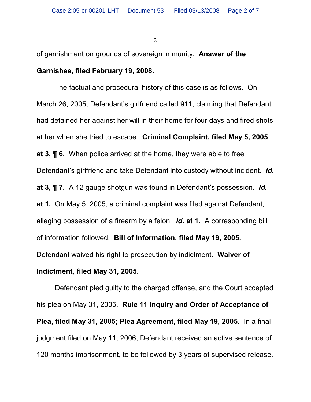of garnishment on grounds of sovereign immunity. **Answer of the Garnishee, filed February 19, 2008.**

The factual and procedural history of this case is as follows. On March 26, 2005, Defendant's girlfriend called 911, claiming that Defendant had detained her against her will in their home for four days and fired shots at her when she tried to escape. **Criminal Complaint, filed May 5, 2005**, **at 3, ¶ 6.** When police arrived at the home, they were able to free Defendant's girlfriend and take Defendant into custody without incident. *Id.* **at 3, ¶ 7.** A 12 gauge shotgun was found in Defendant's possession. *Id.* **at 1.** On May 5, 2005, a criminal complaint was filed against Defendant, alleging possession of a firearm by a felon.*Id.* **at 1.** A corresponding bill of information followed. **Bill of Information, filed May 19, 2005.** Defendant waived his right to prosecution by indictment. **Waiver of**

**Indictment, filed May 31, 2005.**

Defendant pled guilty to the charged offense, and the Court accepted his plea on May 31, 2005. **Rule 11 Inquiry and Order of Acceptance of Plea, filed May 31, 2005; Plea Agreement, filed May 19, 2005.** In a final judgment filed on May 11, 2006, Defendant received an active sentence of 120 months imprisonment, to be followed by 3 years of supervised release.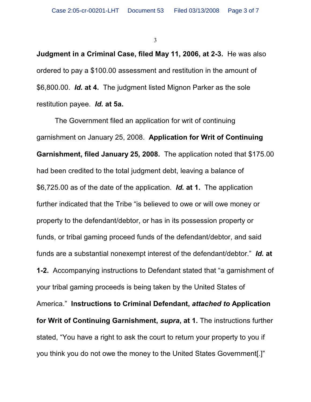**Judgment in a Criminal Case, filed May 11, 2006, at 2-3.** He was also ordered to pay a \$100.00 assessment and restitution in the amount of \$6,800.00. *Id.* **at 4.** The judgment listed Mignon Parker as the sole restitution payee. *Id.* **at 5a.**

The Government filed an application for writ of continuing garnishment on January 25, 2008. **Application for Writ of Continuing Garnishment, filed January 25, 2008.** The application noted that \$175.00 had been credited to the total judgment debt, leaving a balance of \$6,725.00 as of the date of the application. *Id.* **at 1.** The application further indicated that the Tribe "is believed to owe or will owe money or property to the defendant/debtor, or has in its possession property or funds, or tribal gaming proceed funds of the defendant/debtor, and said funds are a substantial nonexempt interest of the defendant/debtor." *Id.* **at 1-2.** Accompanying instructions to Defendant stated that "a garnishment of your tribal gaming proceeds is being taken by the United States of America." **Instructions to Criminal Defendant,** *attached to* **Application for Writ of Continuing Garnishment,** *supra***, at 1.** The instructions further stated, "You have a right to ask the court to return your property to you if you think you do not owe the money to the United States Government[.]"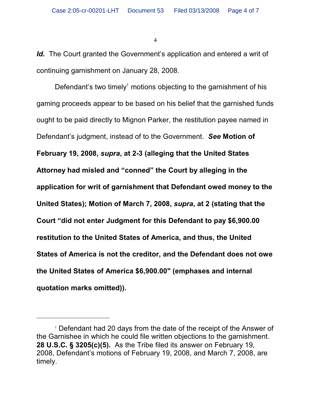Id. The Court granted the Government's application and entered a writ of continuing garnishment on January 28, 2008.

Defendant's two timely<sup>1</sup> motions objecting to the garnishment of his gaming proceeds appear to be based on his belief that the garnished funds ought to be paid directly to Mignon Parker, the restitution payee named in Defendant's judgment, instead of to the Government. *See* **Motion of February 19, 2008,** *supra***, at 2-3 (alleging that the United States Attorney had misled and "conned" the Court by alleging in the application for writ of garnishment that Defendant owed money to the United States); Motion of March 7, 2008,** *supra***, at 2 (stating that the Court "did not enter Judgment for this Defendant to pay \$6,900.00 restitution to the United States of America, and thus, the United States of America is not the creditor, and the Defendant does not owe the United States of America \$6,900.00" (emphases and internal quotation marks omitted)).**

 $1$  Defendant had 20 days from the date of the receipt of the Answer of the Garnishee in which he could file written objections to the garnishment. **28 U.S.C. § 3205(c)(5).** As the Tribe filed its answer on February 19, 2008, Defendant's motions of February 19, 2008, and March 7, 2008, are timely.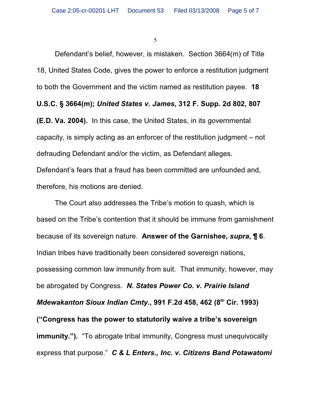Defendant's belief, however, is mistaken. Section 3664(m) of Title 18, United States Code, gives the power to enforce a restitution judgment to both the Government and the victim named as restitution payee. **18 U.S.C. § 3664(m);** *United States v. James***, 312 F. Supp. 2d 802, 807 (E.D. Va. 2004).** In this case, the United States, in its governmental capacity, is simply acting as an enforcer of the restitution judgment – not defrauding Defendant and/or the victim, as Defendant alleges. Defendant's fears that a fraud has been committed are unfounded and, therefore, his motions are denied.

The Court also addresses the Tribe's motion to quash, which is based on the Tribe's contention that it should be immune from garnishment because of its sovereign nature. **Answer of the Garnishee,** *supra***, ¶ 6**. Indian tribes have traditionally been considered sovereign nations, possessing common law immunity from suit. That immunity, however, may be abrogated by Congress. *N. States Power Co. v. Prairie Island Mdewakanton Sioux Indian Cmty.*, 991 F.2d 458, 462 (8<sup>th</sup> Cir. 1993) **("Congress has the power to statutorily waive a tribe's sovereign immunity.").** "To abrogate tribal immunity, Congress must unequivocally express that purpose." *C & L Enters., Inc. v. Citizens Band Potawatomi*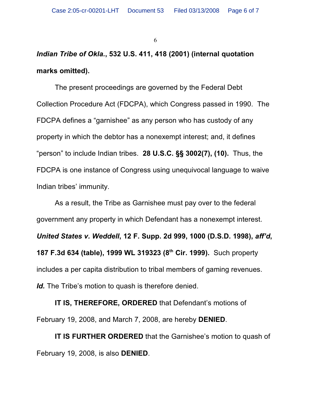## *Indian Tribe of Okla.***, 532 U.S. 411, 418 (2001) (internal quotation marks omitted).**

The present proceedings are governed by the Federal Debt Collection Procedure Act (FDCPA), which Congress passed in 1990. The FDCPA defines a "garnishee" as any person who has custody of any property in which the debtor has a nonexempt interest; and, it defines "person" to include Indian tribes. **28 U.S.C. §§ 3002(7), (10).** Thus, the FDCPA is one instance of Congress using unequivocal language to waive Indian tribes' immunity.

As a result, the Tribe as Garnishee must pay over to the federal government any property in which Defendant has a nonexempt interest. *United States v. Weddell***, 12 F. Supp. 2d 999, 1000 (D.S.D. 1998),** *aff'd***, 187 F.3d 634 (table), 1999 WL 319323 (8th Cir. 1999).** Such property includes a per capita distribution to tribal members of gaming revenues. Id. The Tribe's motion to quash is therefore denied.

**IT IS, THEREFORE, ORDERED** that Defendant's motions of February 19, 2008, and March 7, 2008, are hereby **DENIED**.

**IT IS FURTHER ORDERED** that the Garnishee's motion to quash of February 19, 2008, is also **DENIED**.